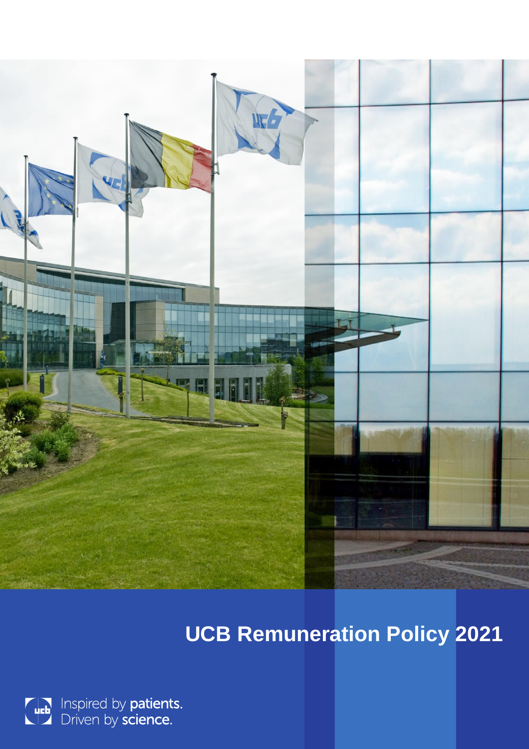

# **UCB Remuneration Policy 2021**

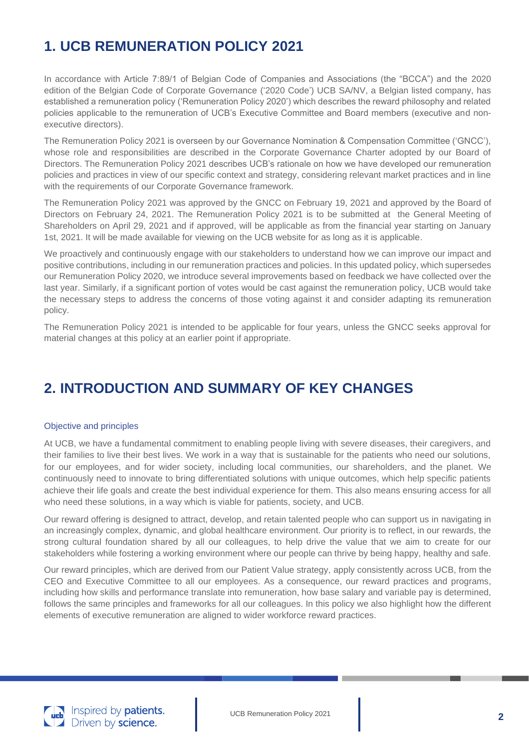# **1. UCB REMUNERATION POLICY 2021**

In accordance with Article 7:89/1 of Belgian Code of Companies and Associations (the "BCCA") and the 2020 edition of the Belgian Code of Corporate Governance ('2020 Code') UCB SA/NV, a Belgian listed company, has established a remuneration policy ('Remuneration Policy 2020') which describes the reward philosophy and related policies applicable to the remuneration of UCB's Executive Committee and Board members (executive and nonexecutive directors).

The Remuneration Policy 2021 is overseen by our Governance Nomination & Compensation Committee ('GNCC'), whose role and responsibilities are described in the Corporate Governance Charter adopted by our Board of Directors. The Remuneration Policy 2021 describes UCB's rationale on how we have developed our remuneration policies and practices in view of our specific context and strategy, considering relevant market practices and in line with the requirements of our Corporate Governance framework.

The Remuneration Policy 2021 was approved by the GNCC on February 19, 2021 and approved by the Board of Directors on February 24, 2021. The Remuneration Policy 2021 is to be submitted at the General Meeting of Shareholders on April 29, 2021 and if approved, will be applicable as from the financial year starting on January 1st, 2021. It will be made available for viewing on the UCB website for as long as it is applicable.

We proactively and continuously engage with our stakeholders to understand how we can improve our impact and positive contributions, including in our remuneration practices and policies. In this updated policy, which supersedes our Remuneration Policy 2020, we introduce several improvements based on feedback we have collected over the last year. Similarly, if a significant portion of votes would be cast against the remuneration policy, UCB would take the necessary steps to address the concerns of those voting against it and consider adapting its remuneration policy.

The Remuneration Policy 2021 is intended to be applicable for four years, unless the GNCC seeks approval for material changes at this policy at an earlier point if appropriate.

# **2. INTRODUCTION AND SUMMARY OF KEY CHANGES**

#### Objective and principles

At UCB, we have a fundamental commitment to enabling people living with severe diseases, their caregivers, and their families to live their best lives. We work in a way that is sustainable for the patients who need our solutions, for our employees, and for wider society, including local communities, our shareholders, and the planet. We continuously need to innovate to bring differentiated solutions with unique outcomes, which help specific patients achieve their life goals and create the best individual experience for them. This also means ensuring access for all who need these solutions, in a way which is viable for patients, society, and UCB.

Our reward offering is designed to attract, develop, and retain talented people who can support us in navigating in an increasingly complex, dynamic, and global healthcare environment. Our priority is to reflect, in our rewards, the strong cultural foundation shared by all our colleagues, to help drive the value that we aim to create for our stakeholders while fostering a working environment where our people can thrive by being happy, healthy and safe.

Our reward principles, which are derived from our Patient Value strategy, apply consistently across UCB, from the CEO and Executive Committee to all our employees. As a consequence, our reward practices and programs, including how skills and performance translate into remuneration, how base salary and variable pay is determined, follows the same principles and frameworks for all our colleagues. In this policy we also highlight how the different elements of executive remuneration are aligned to wider workforce reward practices.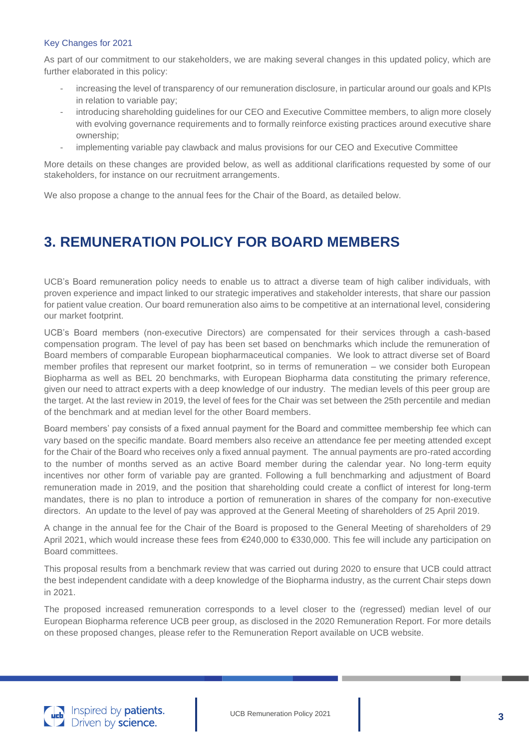#### Key Changes for 2021

As part of our commitment to our stakeholders, we are making several changes in this updated policy, which are further elaborated in this policy:

- increasing the level of transparency of our remuneration disclosure, in particular around our goals and KPIs in relation to variable pay;
- introducing shareholding guidelines for our CEO and Executive Committee members, to align more closely with evolving governance requirements and to formally reinforce existing practices around executive share ownership;
- implementing variable pay clawback and malus provisions for our CEO and Executive Committee

More details on these changes are provided below, as well as additional clarifications requested by some of our stakeholders, for instance on our recruitment arrangements.

We also propose a change to the annual fees for the Chair of the Board, as detailed below.

# **3. REMUNERATION POLICY FOR BOARD MEMBERS**

UCB's Board remuneration policy needs to enable us to attract a diverse team of high caliber individuals, with proven experience and impact linked to our strategic imperatives and stakeholder interests, that share our passion for patient value creation. Our board remuneration also aims to be competitive at an international level, considering our market footprint.

UCB's Board members (non-executive Directors) are compensated for their services through a cash-based compensation program. The level of pay has been set based on benchmarks which include the remuneration of Board members of comparable European biopharmaceutical companies. We look to attract diverse set of Board member profiles that represent our market footprint, so in terms of remuneration – we consider both European Biopharma as well as BEL 20 benchmarks, with European Biopharma data constituting the primary reference, given our need to attract experts with a deep knowledge of our industry. The median levels of this peer group are the target. At the last review in 2019, the level of fees for the Chair was set between the 25th percentile and median of the benchmark and at median level for the other Board members.

Board members' pay consists of a fixed annual payment for the Board and committee membership fee which can vary based on the specific mandate. Board members also receive an attendance fee per meeting attended except for the Chair of the Board who receives only a fixed annual payment. The annual payments are pro-rated according to the number of months served as an active Board member during the calendar year. No long-term equity incentives nor other form of variable pay are granted. Following a full benchmarking and adjustment of Board remuneration made in 2019, and the position that shareholding could create a conflict of interest for long-term mandates, there is no plan to introduce a portion of remuneration in shares of the company for non-executive directors. An update to the level of pay was approved at the General Meeting of shareholders of 25 April 2019.

A change in the annual fee for the Chair of the Board is proposed to the General Meeting of shareholders of 29 April 2021, which would increase these fees from €240,000 to €330,000. This fee will include any participation on Board committees.

This proposal results from a benchmark review that was carried out during 2020 to ensure that UCB could attract the best independent candidate with a deep knowledge of the Biopharma industry, as the current Chair steps down in 2021.

The proposed increased remuneration corresponds to a level closer to the (regressed) median level of our European Biopharma reference UCB peer group, as disclosed in the 2020 Remuneration Report. For more details on these proposed changes, please refer to the Remuneration Report available on UCB website.

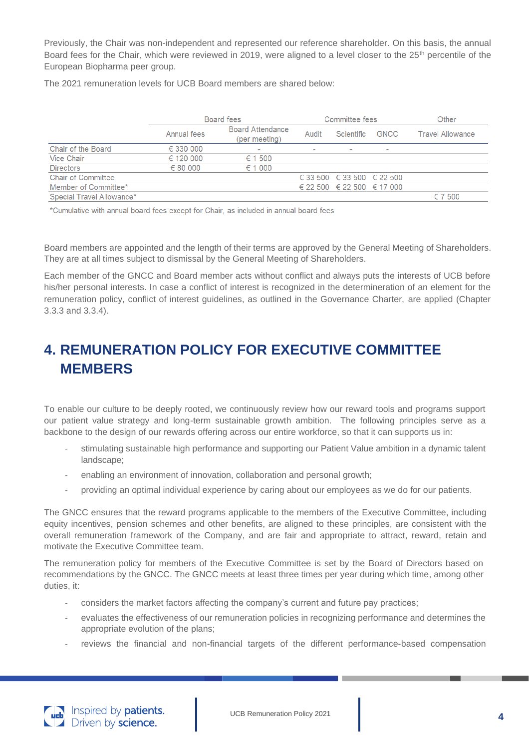Previously, the Chair was non-independent and represented our reference shareholder. On this basis, the annual Board fees for the Chair, which were reviewed in 2019, were aligned to a level closer to the 25<sup>th</sup> percentile of the European Biopharma peer group.

The 2021 remuneration levels for UCB Board members are shared below:

|                           | Board fees  |                                          | Committee fees           |                                        |                          | Other                   |
|---------------------------|-------------|------------------------------------------|--------------------------|----------------------------------------|--------------------------|-------------------------|
|                           | Annual fees | <b>Board Attendance</b><br>(per meeting) | Audit                    | Scientific                             | <b>GNCC</b>              | <b>Travel Allowance</b> |
| Chair of the Board        | € 330 000   | $\overline{\phantom{a}}$                 | $\overline{\phantom{0}}$ | $\overline{\phantom{a}}$               | $\overline{\phantom{0}}$ |                         |
| Vice Chair                | € 120 000   | ∈ 1500                                   |                          |                                        |                          |                         |
| <b>Directors</b>          | ∈ 80000     | ∈ 1000                                   |                          |                                        |                          |                         |
| <b>Chair of Committee</b> |             |                                          |                          | € 33 500 $\in$ 33 500 $\in$ 22 500     |                          |                         |
| Member of Committee*      |             |                                          |                          | $\in$ 22 500 $\in$ 22 500 $\in$ 17 000 |                          |                         |
| Special Travel Allowance* |             |                                          |                          |                                        |                          | ∈ 7500                  |

\*Cumulative with annual board fees except for Chair, as included in annual board fees

Board members are appointed and the length of their terms are approved by the General Meeting of Shareholders. They are at all times subject to dismissal by the General Meeting of Shareholders.

Each member of the GNCC and Board member acts without conflict and always puts the interests of UCB before his/her personal interests. In case a conflict of interest is recognized in the determineration of an element for the remuneration policy, conflict of interest guidelines, as outlined in the Governance Charter, are applied (Chapter 3.3.3 and 3.3.4).

# **4. REMUNERATION POLICY FOR EXECUTIVE COMMITTEE MEMBERS**

To enable our culture to be deeply rooted, we continuously review how our reward tools and programs support our patient value strategy and long-term sustainable growth ambition. The following principles serve as a backbone to the design of our rewards offering across our entire workforce, so that it can supports us in:

- stimulating sustainable high performance and supporting our Patient Value ambition in a dynamic talent landscape;
- enabling an environment of innovation, collaboration and personal growth;
- providing an optimal individual experience by caring about our employees as we do for our patients.

The GNCC ensures that the reward programs applicable to the members of the Executive Committee, including equity incentives, pension schemes and other benefits, are aligned to these principles, are consistent with the overall remuneration framework of the Company, and are fair and appropriate to attract, reward, retain and motivate the Executive Committee team.

The remuneration policy for members of the Executive Committee is set by the Board of Directors based on recommendations by the GNCC. The GNCC meets at least three times per year during which time, among other duties, it:

- considers the market factors affecting the company's current and future pay practices;
- evaluates the effectiveness of our remuneration policies in recognizing performance and determines the appropriate evolution of the plans;
- reviews the financial and non-financial targets of the different performance-based compensation

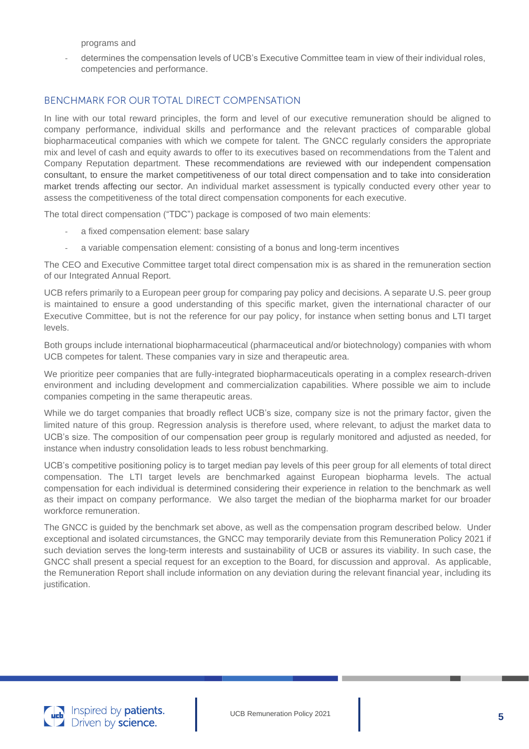programs and

determines the compensation levels of UCB's Executive Committee team in view of their individual roles, competencies and performance.

# BENCHMARK FOR OUR TOTAL DIRECT COMPENSATION

In line with our total reward principles, the form and level of our executive remuneration should be aligned to company performance, individual skills and performance and the relevant practices of comparable global biopharmaceutical companies with which we compete for talent. The GNCC regularly considers the appropriate mix and level of cash and equity awards to offer to its executives based on recommendations from the Talent and Company Reputation department. These recommendations are reviewed with our independent compensation consultant, to ensure the market competitiveness of our total direct compensation and to take into consideration market trends affecting our sector. An individual market assessment is typically conducted every other year to assess the competitiveness of the total direct compensation components for each executive.

The total direct compensation ("TDC") package is composed of two main elements:

- a fixed compensation element: base salary
- a variable compensation element: consisting of a bonus and long-term incentives

The CEO and Executive Committee target total direct compensation mix is as shared in the remuneration section of our Integrated Annual Report.

UCB refers primarily to a European peer group for comparing pay policy and decisions. A separate U.S. peer group is maintained to ensure a good understanding of this specific market, given the international character of our Executive Committee, but is not the reference for our pay policy, for instance when setting bonus and LTI target levels.

Both groups include international biopharmaceutical (pharmaceutical and/or biotechnology) companies with whom UCB competes for talent. These companies vary in size and therapeutic area.

We prioritize peer companies that are fully-integrated biopharmaceuticals operating in a complex research-driven environment and including development and commercialization capabilities. Where possible we aim to include companies competing in the same therapeutic areas.

While we do target companies that broadly reflect UCB's size, company size is not the primary factor, given the limited nature of this group. Regression analysis is therefore used, where relevant, to adjust the market data to UCB's size. The composition of our compensation peer group is regularly monitored and adjusted as needed, for instance when industry consolidation leads to less robust benchmarking.

UCB's competitive positioning policy is to target median pay levels of this peer group for all elements of total direct compensation. The LTI target levels are benchmarked against European biopharma levels. The actual compensation for each individual is determined considering their experience in relation to the benchmark as well as their impact on company performance. We also target the median of the biopharma market for our broader workforce remuneration.

The GNCC is guided by the benchmark set above, as well as the compensation program described below. Under exceptional and isolated circumstances, the GNCC may temporarily deviate from this Remuneration Policy 2021 if such deviation serves the long-term interests and sustainability of UCB or assures its viability. In such case, the GNCC shall present a special request for an exception to the Board, for discussion and approval. As applicable, the Remuneration Report shall include information on any deviation during the relevant financial year, including its justification.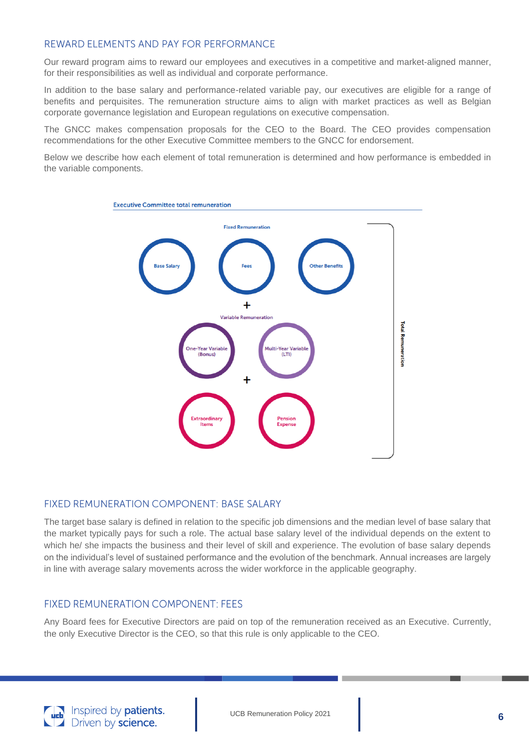# REWARD FLEMENTS AND PAY FOR PERFORMANCE

Our reward program aims to reward our employees and executives in a competitive and market-aligned manner, for their responsibilities as well as individual and corporate performance.

In addition to the base salary and performance-related variable pay, our executives are eligible for a range of benefits and perquisites. The remuneration structure aims to align with market practices as well as Belgian corporate governance legislation and European regulations on executive compensation.

The GNCC makes compensation proposals for the CEO to the Board. The CEO provides compensation recommendations for the other Executive Committee members to the GNCC for endorsement.

Below we describe how each element of total remuneration is determined and how performance is embedded in the variable components.



#### **FIXED REMUNERATION COMPONENT: BASE SALARY**

The target base salary is defined in relation to the specific job dimensions and the median level of base salary that the market typically pays for such a role. The actual base salary level of the individual depends on the extent to which he/ she impacts the business and their level of skill and experience. The evolution of base salary depends on the individual's level of sustained performance and the evolution of the benchmark. Annual increases are largely in line with average salary movements across the wider workforce in the applicable geography.

#### **FIXED REMUNERATION COMPONENT: FEES**

Any Board fees for Executive Directors are paid on top of the remuneration received as an Executive. Currently, the only Executive Director is the CEO, so that this rule is only applicable to the CEO.

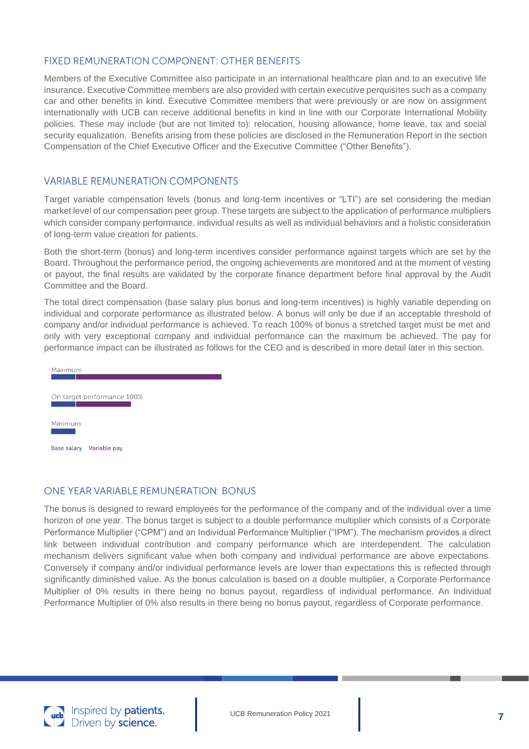#### FIXED REMUNERATION COMPONENT: OTHER BENEFITS

Members of the Executive Committee also participate in an international healthcare plan and to an executive life insurance. Executive Committee members are also provided with certain executive perquisites such as a company car and other benefits in kind. Executive Committee members that were previously or are now on assignment internationally with UCB can receive additional benefits in kind in line with our Corporate International Mobility policies. These may include (but are not limited to): relocation, housing allowance, home leave, tax and social security equalization. Benefits arising from these policies are disclosed in the Remuneration Report in the section Compensation of the Chief Executive Officer and the Executive Committee ("Other Benefits").

### **VARIABLE REMUNERATION COMPONENTS**

Target variable compensation levels (bonus and long-term incentives or "LTI") are set considering the median market level of our compensation peer group. These targets are subject to the application of performance multipliers which consider company performance, individual results as well as individual behaviors and a holistic consideration of long-term value creation for patients.

Both the short-term (bonus) and long-term incentives consider performance against targets which are set by the Board. Throughout the performance period, the ongoing achievements are monitored and at the moment of vesting or payout, the final results are validated by the corporate finance department before final approval by the Audit Committee and the Board.

The total direct compensation (base salary plus bonus and long-term incentives) is highly variable depending on individual and corporate performance as illustrated below. A bonus will only be due if an acceptable threshold of company and/or individual performance is achieved. To reach 100% of bonus a stretched target must be met and only with very exceptional company and individual performance can the maximum be achieved. The pay for performance impact can be illustrated as follows for the CEO and is described in more detail later in this section.



# **ONE YEAR VARIABLE REMUNERATION: BONUS**

The bonus is designed to reward employees for the performance of the company and of the individual over a time horizon of one year. The bonus target is subject to a double performance multiplier which consists of a Corporate Performance Multiplier ("CPM") and an Individual Performance Multiplier ("IPM"). The mechanism provides a direct link between individual contribution and company performance which are interdependent. The calculation mechanism delivers significant value when both company and individual performance are above expectations. Conversely if company and/or individual performance levels are lower than expectations this is reflected through significantly diminished value. As the bonus calculation is based on a double multiplier, a Corporate Performance Multiplier of 0% results in there being no bonus payout, regardless of individual performance. An Individual Performance Multiplier of 0% also results in there being no bonus payout, regardless of Corporate performance.

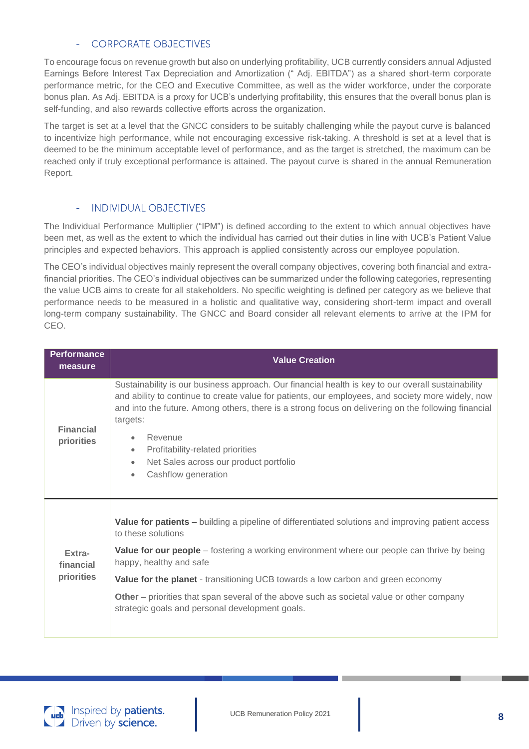# **CORPORATE OBJECTIVES**

To encourage focus on revenue growth but also on underlying profitability, UCB currently considers annual Adjusted Earnings Before Interest Tax Depreciation and Amortization (" Adj. EBITDA") as a shared short-term corporate performance metric, for the CEO and Executive Committee, as well as the wider workforce, under the corporate bonus plan. As Adj. EBITDA is a proxy for UCB's underlying profitability, this ensures that the overall bonus plan is self-funding, and also rewards collective efforts across the organization.

The target is set at a level that the GNCC considers to be suitably challenging while the payout curve is balanced to incentivize high performance, while not encouraging excessive risk-taking. A threshold is set at a level that is deemed to be the minimum acceptable level of performance, and as the target is stretched, the maximum can be reached only if truly exceptional performance is attained. The payout curve is shared in the annual Remuneration Report.

#### **INDIVIDUAL OBJECTIVES**

The Individual Performance Multiplier ("IPM") is defined according to the extent to which annual objectives have been met, as well as the extent to which the individual has carried out their duties in line with UCB's Patient Value principles and expected behaviors. This approach is applied consistently across our employee population.

The CEO's individual objectives mainly represent the overall company objectives, covering both financial and extrafinancial priorities. The CEO's individual objectives can be summarized under the following categories, representing the value UCB aims to create for all stakeholders. No specific weighting is defined per category as we believe that performance needs to be measured in a holistic and qualitative way, considering short-term impact and overall long-term company sustainability. The GNCC and Board consider all relevant elements to arrive at the IPM for CEO.

| <b>Performance</b><br>measure     | <b>Value Creation</b>                                                                                                                                                                                                                                                                                                                                                                                                                                                                              |
|-----------------------------------|----------------------------------------------------------------------------------------------------------------------------------------------------------------------------------------------------------------------------------------------------------------------------------------------------------------------------------------------------------------------------------------------------------------------------------------------------------------------------------------------------|
| <b>Financial</b><br>priorities    | Sustainability is our business approach. Our financial health is key to our overall sustainability<br>and ability to continue to create value for patients, our employees, and society more widely, now<br>and into the future. Among others, there is a strong focus on delivering on the following financial<br>targets:<br>Revenue<br>$\bullet$<br>Profitability-related priorities<br>$\bullet$<br>Net Sales across our product portfolio<br>$\bullet$<br>Cashflow generation<br>$\bullet$     |
| Extra-<br>financial<br>priorities | Value for patients - building a pipeline of differentiated solutions and improving patient access<br>to these solutions<br><b>Value for our people</b> – fostering a working environment where our people can thrive by being<br>happy, healthy and safe<br><b>Value for the planet</b> - transitioning UCB towards a low carbon and green economy<br>Other – priorities that span several of the above such as societal value or other company<br>strategic goals and personal development goals. |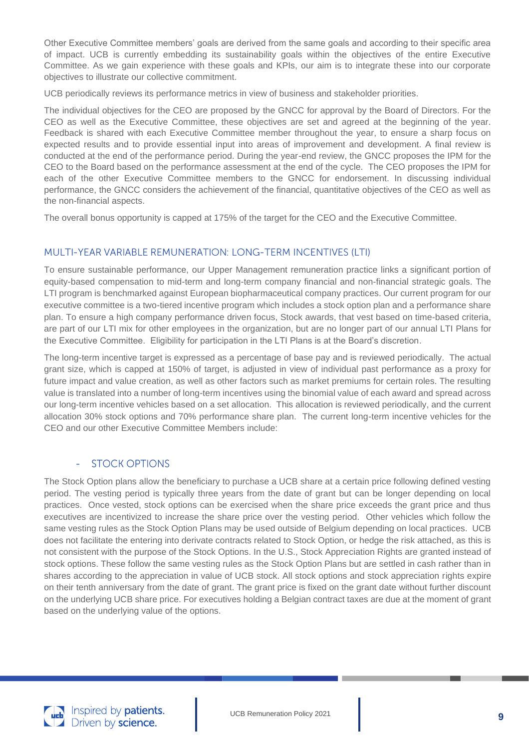Other Executive Committee members' goals are derived from the same goals and according to their specific area of impact. UCB is currently embedding its sustainability goals within the objectives of the entire Executive Committee. As we gain experience with these goals and KPIs, our aim is to integrate these into our corporate objectives to illustrate our collective commitment.

UCB periodically reviews its performance metrics in view of business and stakeholder priorities.

The individual objectives for the CEO are proposed by the GNCC for approval by the Board of Directors. For the CEO as well as the Executive Committee, these objectives are set and agreed at the beginning of the year. Feedback is shared with each Executive Committee member throughout the year, to ensure a sharp focus on expected results and to provide essential input into areas of improvement and development. A final review is conducted at the end of the performance period. During the year-end review, the GNCC proposes the IPM for the CEO to the Board based on the performance assessment at the end of the cycle. The CEO proposes the IPM for each of the other Executive Committee members to the GNCC for endorsement. In discussing individual performance, the GNCC considers the achievement of the financial, quantitative objectives of the CEO as well as the non-financial aspects.

The overall bonus opportunity is capped at 175% of the target for the CEO and the Executive Committee.

# MULTI-YEAR VARIABLE REMUNERATION: LONG-TERM INCENTIVES (LTI)

To ensure sustainable performance, our Upper Management remuneration practice links a significant portion of equity-based compensation to mid-term and long-term company financial and non-financial strategic goals. The LTI program is benchmarked against European biopharmaceutical company practices. Our current program for our executive committee is a two-tiered incentive program which includes a stock option plan and a performance share plan. To ensure a high company performance driven focus, Stock awards, that vest based on time-based criteria, are part of our LTI mix for other employees in the organization, but are no longer part of our annual LTI Plans for the Executive Committee. Eligibility for participation in the LTI Plans is at the Board's discretion.

The long-term incentive target is expressed as a percentage of base pay and is reviewed periodically. The actual grant size, which is capped at 150% of target, is adjusted in view of individual past performance as a proxy for future impact and value creation, as well as other factors such as market premiums for certain roles. The resulting value is translated into a number of long-term incentives using the binomial value of each award and spread across our long-term incentive vehicles based on a set allocation. This allocation is reviewed periodically, and the current allocation 30% stock options and 70% performance share plan. The current long-term incentive vehicles for the CEO and our other Executive Committee Members include:

# **STOCK OPTIONS**

The Stock Option plans allow the beneficiary to purchase a UCB share at a certain price following defined vesting period. The vesting period is typically three years from the date of grant but can be longer depending on local practices. Once vested, stock options can be exercised when the share price exceeds the grant price and thus executives are incentivized to increase the share price over the vesting period. Other vehicles which follow the same vesting rules as the Stock Option Plans may be used outside of Belgium depending on local practices. UCB does not facilitate the entering into derivate contracts related to Stock Option, or hedge the risk attached, as this is not consistent with the purpose of the Stock Options. In the U.S., Stock Appreciation Rights are granted instead of stock options. These follow the same vesting rules as the Stock Option Plans but are settled in cash rather than in shares according to the appreciation in value of UCB stock. All stock options and stock appreciation rights expire on their tenth anniversary from the date of grant. The grant price is fixed on the grant date without further discount on the underlying UCB share price. For executives holding a Belgian contract taxes are due at the moment of grant based on the underlying value of the options.

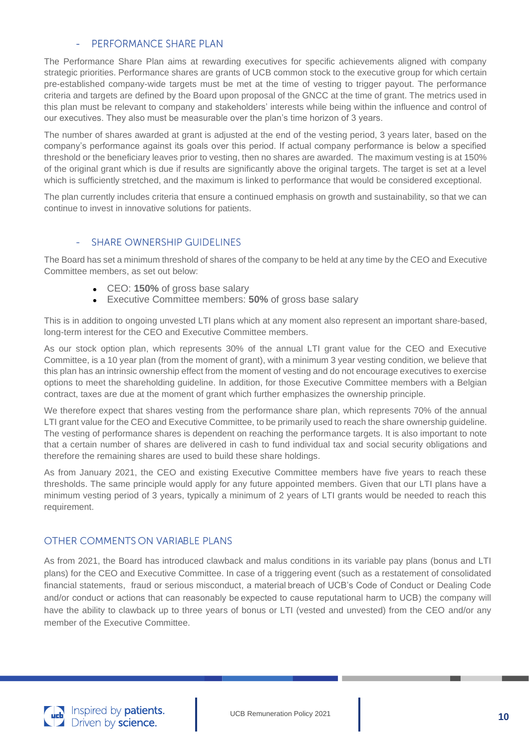#### PERFORMANCE SHARE PLAN

The Performance Share Plan aims at rewarding executives for specific achievements aligned with company strategic priorities. Performance shares are grants of UCB common stock to the executive group for which certain pre-established company-wide targets must be met at the time of vesting to trigger payout. The performance criteria and targets are defined by the Board upon proposal of the GNCC at the time of grant. The metrics used in this plan must be relevant to company and stakeholders' interests while being within the influence and control of our executives. They also must be measurable over the plan's time horizon of 3 years.

The number of shares awarded at grant is adjusted at the end of the vesting period, 3 years later, based on the company's performance against its goals over this period. If actual company performance is below a specified threshold or the beneficiary leaves prior to vesting, then no shares are awarded. The maximum vesting is at 150% of the original grant which is due if results are significantly above the original targets. The target is set at a level which is sufficiently stretched, and the maximum is linked to performance that would be considered exceptional.

The plan currently includes criteria that ensure a continued emphasis on growth and sustainability, so that we can continue to invest in innovative solutions for patients.

#### **SHARE OWNERSHIP GUIDELINES**

The Board has set a minimum threshold of shares of the company to be held at any time by the CEO and Executive Committee members, as set out below:

- CEO: **150%** of gross base salary
- Executive Committee members: **50%** of gross base salary

This is in addition to ongoing unvested LTI plans which at any moment also represent an important share-based, long-term interest for the CEO and Executive Committee members.

As our stock option plan, which represents 30% of the annual LTI grant value for the CEO and Executive Committee, is a 10 year plan (from the moment of grant), with a minimum 3 year vesting condition, we believe that this plan has an intrinsic ownership effect from the moment of vesting and do not encourage executives to exercise options to meet the shareholding guideline. In addition, for those Executive Committee members with a Belgian contract, taxes are due at the moment of grant which further emphasizes the ownership principle.

We therefore expect that shares vesting from the performance share plan, which represents 70% of the annual LTI grant value for the CEO and Executive Committee, to be primarily used to reach the share ownership guideline. The vesting of performance shares is dependent on reaching the performance targets. It is also important to note that a certain number of shares are delivered in cash to fund individual tax and social security obligations and therefore the remaining shares are used to build these share holdings.

As from January 2021, the CEO and existing Executive Committee members have five years to reach these thresholds. The same principle would apply for any future appointed members. Given that our LTI plans have a minimum vesting period of 3 years, typically a minimum of 2 years of LTI grants would be needed to reach this requirement.

### **OTHER COMMENTS ON VARIABLE PLANS**

As from 2021, the Board has introduced clawback and malus conditions in its variable pay plans (bonus and LTI plans) for the CEO and Executive Committee. In case of a triggering event (such as a restatement of consolidated financial statements, fraud or serious misconduct, a material breach of UCB's Code of Conduct or Dealing Code and/or conduct or actions that can reasonably be expected to cause reputational harm to UCB) the company will have the ability to clawback up to three years of bonus or LTI (vested and unvested) from the CEO and/or any member of the Executive Committee.